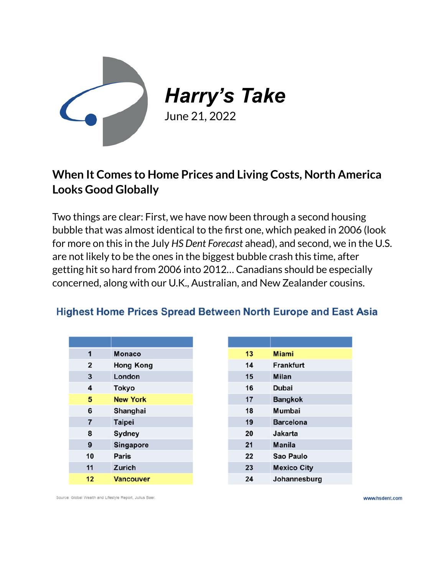

*Harry's Take*

June 21, 2022

## **When It Comes to Home Prices and Living Costs, North America Looks Good Globally**

Two things are clear: First, we have now been through a second housing bubble that was almost identical to the first one, which peaked in 2006 (look for more on this in the July *HS Dent Forecast* ahead), and second, we in the U.S. are not likely to be the ones in the biggest bubble crash this time, after getting hit so hard from 2006 into 2012… Canadians should be especially concerned, along with our U.K., Australian, and New Zealander cousins.

## **Highest Home Prices Spread Between North Europe and East Asia**

| 1                       | <b>Monaco</b>    |
|-------------------------|------------------|
| $\overline{\mathbf{2}}$ | <b>Hong Kong</b> |
| 3                       | London           |
| 4                       | <b>Tokyo</b>     |
| 5                       | <b>New York</b>  |
| 6                       | Shanghai         |
| $\overline{7}$          | <b>Taipei</b>    |
| 8                       | Sydney           |
| 9                       | <b>Singapore</b> |
| 10                      | <b>Paris</b>     |
| 11                      | Zurich           |
| 12                      | <b>Vancouver</b> |

| 13 | Miami              |
|----|--------------------|
| 14 | <b>Frankfurt</b>   |
| 15 | Milan              |
| 16 | Dubai              |
| 17 | <b>Bangkok</b>     |
| 18 | Mumbai             |
| 19 | <b>Barcelona</b>   |
| 20 | Jakarta            |
| 21 | <b>Manila</b>      |
| 22 | Sao Paulo          |
| 23 | <b>Mexico City</b> |
| 24 | Johannesburg       |

Source: Global Wealth and Lifestyle Report, Julius Baer.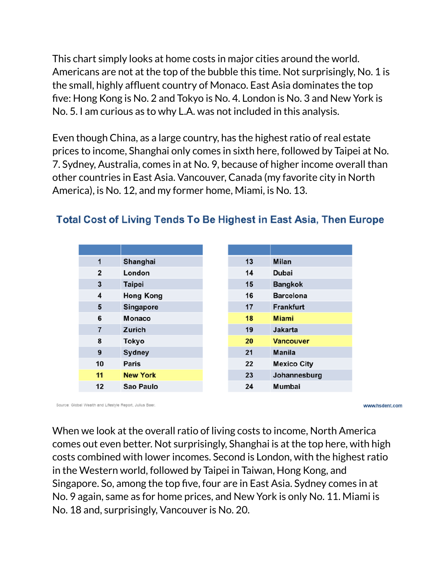This chart simply looks at home costs in major cities around the world. Americans are not at the top of the bubble this time. Not surprisingly, No. 1 is the small, highly affluent country of Monaco. East Asia dominates the top five: Hong Kong is No. 2 and Tokyo is No. 4. London is No. 3 and New York is No. 5. I am curious as to why L.A. was not included in this analysis.

Even though China, as a large country, has the highest ratio of real estate prices to income, Shanghai only comes in sixth here, followed by Taipei at No. 7. Sydney, Australia, comes in at No. 9, because of higher income overall than other countries in East Asia. Vancouver, Canada (my favorite city in North America), is No. 12, and my former home, Miami, is No. 13.

| $\mathbf{1}$   | Shanghai         |
|----------------|------------------|
| $\mathbf{2}$   | London           |
| 3              | <b>Taipei</b>    |
| 4              | <b>Hong Kong</b> |
| 5              | <b>Singapore</b> |
| 6              | Monaco           |
| $\overline{7}$ | Zurich           |
| 8              | <b>Tokyo</b>     |
| 9              | <b>Sydney</b>    |
| 10             | Paris            |
| 11             | <b>New York</b>  |
| 12             | Sao Paulo        |

## **Total Cost of Living Tends To Be Highest in East Asia, Then Europe**

Source: Global Wealth and Lifestyle Report, Julius Baer.

www.hsdent.com

When we look at the overall ratio of living costs to income, North America comes out even better. Not surprisingly, Shanghai is at the top here, with high costs combined with lower incomes. Second is London, with the highest ratio in the Western world, followed by Taipei in Taiwan, Hong Kong, and Singapore. So, among the top five, four are in East Asia. Sydney comes in at No. 9 again, same as for home prices, and New York is only No. 11. Miami is No. 18 and, surprisingly, Vancouver is No. 20.